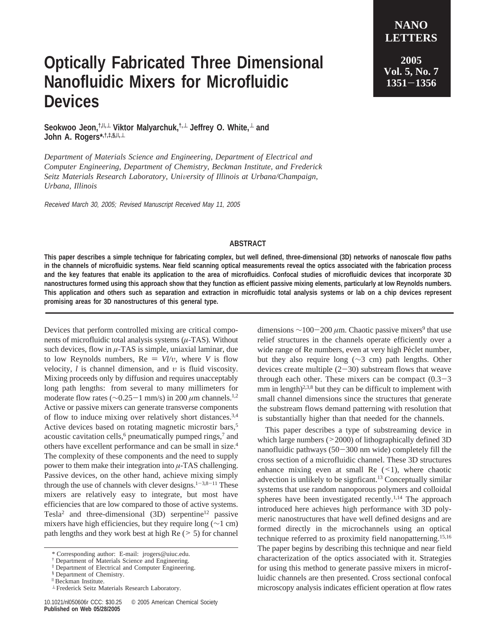## **Optically Fabricated Three Dimensional Nanofluidic Mixers for Microfluidic Devices**

**NANO LETTERS 2005 Vol. 5, No. 7**

**<sup>1351</sup>**-**<sup>1356</sup>**

**Seokwoo Jeon,†,**|**,**<sup>⊥</sup> **Viktor Malyarchuk,†,**<sup>⊥</sup> **Jeffrey O. White,**<sup>⊥</sup> **and John A. Rogers\*,†,‡,§,**|**,**<sup>⊥</sup>

*Department of Materials Science and Engineering, Department of Electrical and Computer Engineering, Department of Chemistry, Beckman Institute, and Frederick Seitz Materials Research Laboratory, Uni*V*ersity of Illinois at Urbana/Champaign, Urbana, Illinois*

Received March 30, 2005; Revised Manuscript Received May 11, 2005

## **ABSTRACT**

**This paper describes a simple technique for fabricating complex, but well defined, three-dimensional (3D) networks of nanoscale flow paths in the channels of microfluidic systems. Near field scanning optical measurements reveal the optics associated with the fabrication process and the key features that enable its application to the area of microfluidics. Confocal studies of microfluidic devices that incorporate 3D nanostructures formed using this approach show that they function as efficient passive mixing elements, particularly at low Reynolds numbers. This application and others such as separation and extraction in microfluidic total analysis systems or lab on a chip devices represent promising areas for 3D nanostructures of this general type.**

Devices that perform controlled mixing are critical components of microfluidic total analysis systems (*µ*-TAS). Without such devices, flow in  $\mu$ -TAS is simple, uniaxial laminar, due to low Reynolds numbers,  $Re = Vl/v$ , where *V* is flow velocity, *l* is channel dimension, and *υ* is fluid viscosity. Mixing proceeds only by diffusion and requires unacceptably long path lengths: from several to many millimeters for moderate flow rates (∼0.25-1 mm/s) in 200 *<sup>µ</sup>*m channels.1,2 Active or passive mixers can generate transverse components of flow to induce mixing over relatively short distances.3,4 Active devices based on rotating magnetic microstir bars,<sup>5</sup> acoustic cavitation cells,<sup>6</sup> pneumatically pumped rings,<sup>7</sup> and others have excellent performance and can be small in size.4 The complexity of these components and the need to supply power to them make their integration into *µ*-TAS challenging. Passive devices, on the other hand, achieve mixing simply through the use of channels with clever designs.<sup>1-3,8-11</sup> These mixers are relatively easy to integrate, but most have efficiencies that are low compared to those of active systems. Tesla<sup>2</sup> and three-dimensional  $(3D)$  serpentine<sup>12</sup> passive mixers have high efficiencies, but they require long (∼1 cm) path lengths and they work best at high  $Re$  ( $> 5$ ) for channel

dimensions ~100-200 *μ*m. Chaotic passive mixers<sup>9</sup> that use relief structures in the channels operate efficiently over a wide range of Re numbers, even at very high Péclet number, but they also require long (∼3 cm) path lengths. Other devices create multiple  $(2-30)$  substream flows that weave through each other. These mixers can be compact  $(0.3-3)$ mm in length)<sup>2,3,8</sup> but they can be difficult to implement with small channel dimensions since the structures that generate the substream flows demand patterning with resolution that is substantially higher than that needed for the channels.

This paper describes a type of substreaming device in which large numbers ( $>2000$ ) of lithographically defined 3D nanofluidic pathways (50-300 nm wide) completely fill the cross section of a microfluidic channel. These 3D structures enhance mixing even at small Re  $($  1), where chaotic advection is unlikely to be signficant.13 Conceptually similar systems that use random nanoporous polymers and colloidal spheres have been investigated recently.<sup>1,14</sup> The approach introduced here achieves high performance with 3D polymeric nanostructures that have well defined designs and are formed directly in the microchannels using an optical technique referred to as proximity field nanopatterning.<sup>15,16</sup> The paper begins by describing this technique and near field characterization of the optics associated with it. Strategies for using this method to generate passive mixers in microfluidic channels are then presented. Cross sectional confocal microscopy analysis indicates efficient operation at flow rates

<sup>\*</sup> Corresponding author: E-mail: jrogers@uiuc.edu.

<sup>†</sup> Department of Materials Science and Engineering.

<sup>‡</sup> Department of Electrical and Computer Engineering.

<sup>§</sup> Department of Chemistry.

<sup>|</sup> Beckman Institute.

<sup>⊥</sup> Frederick Seitz Materials Research Laboratory.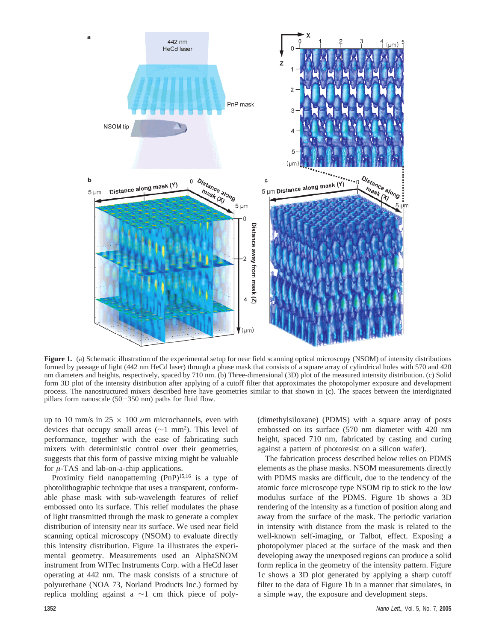

**Figure 1.** (a) Schematic illustration of the experimental setup for near field scanning optical microscopy (NSOM) of intensity distributions formed by passage of light (442 nm HeCd laser) through a phase mask that consists of a square array of cylindrical holes with 570 and 420 nm diameters and heights, respectively, spaced by 710 nm. (b) Three-dimensional (3D) plot of the measured intensity distribution. (c) Solid form 3D plot of the intensity distribution after applying of a cutoff filter that approximates the photopolymer exposure and development process. The nanostructured mixers described here have geometries similar to that shown in (c). The spaces between the interdigitated pillars form nanoscale  $(50-350 \text{ nm})$  paths for fluid flow.

up to 10 mm/s in  $25 \times 100 \ \mu m$  microchannels, even with devices that occupy small areas ( $\sim$ 1 mm<sup>2</sup>). This level of performance, together with the ease of fabricating such mixers with deterministic control over their geometries, suggests that this form of passive mixing might be valuable for *µ*-TAS and lab-on-a-chip applications.

Proximity field nanopatterning (PnP)<sup>15,16</sup> is a type of photolithographic technique that uses a transparent, conformable phase mask with sub-wavelength features of relief embossed onto its surface. This relief modulates the phase of light transmitted through the mask to generate a complex distribution of intensity near its surface. We used near field scanning optical microscopy (NSOM) to evaluate directly this intensity distribution. Figure 1a illustrates the experimental geometry. Measurements used an AlphaSNOM instrument from WITec Instruments Corp. with a HeCd laser operating at 442 nm. The mask consists of a structure of polyurethane (NOA 73, Norland Products Inc.) formed by replica molding against a ∼1 cm thick piece of poly(dimethylsiloxane) (PDMS) with a square array of posts embossed on its surface (570 nm diameter with 420 nm height, spaced 710 nm, fabricated by casting and curing against a pattern of photoresist on a silicon wafer).

The fabrication process described below relies on PDMS elements as the phase masks. NSOM measurements directly with PDMS masks are difficult, due to the tendency of the atomic force microscope type NSOM tip to stick to the low modulus surface of the PDMS. Figure 1b shows a 3D rendering of the intensity as a function of position along and away from the surface of the mask. The periodic variation in intensity with distance from the mask is related to the well-known self-imaging, or Talbot, effect. Exposing a photopolymer placed at the surface of the mask and then developing away the unexposed regions can produce a solid form replica in the geometry of the intensity pattern. Figure 1c shows a 3D plot generated by applying a sharp cutoff filter to the data of Figure 1b in a manner that simulates, in a simple way, the exposure and development steps.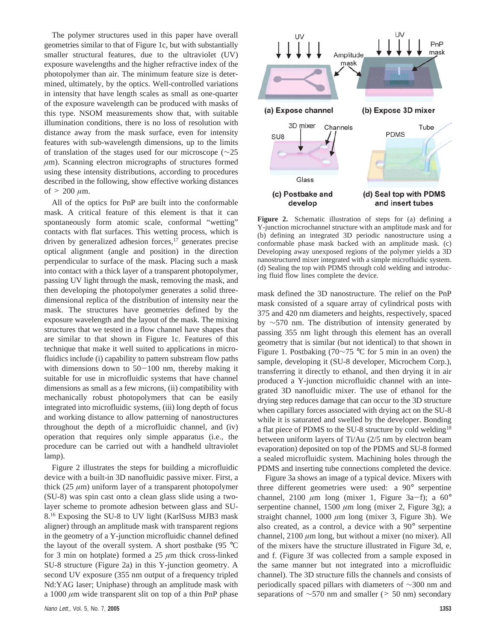The polymer structures used in this paper have overall geometries similar to that of Figure 1c, but with substantially smaller structural features, due to the ultraviolet (UV) exposure wavelengths and the higher refractive index of the photopolymer than air. The minimum feature size is determined, ultimately, by the optics. Well-controlled variations in intensity that have length scales as small as one-quarter of the exposure wavelength can be produced with masks of this type. NSOM measurements show that, with suitable illumination conditions, there is no loss of resolution with distance away from the mask surface, even for intensity features with sub-wavelength dimensions, up to the limits of translation of the stages used for our microscope (∼25 *µ*m). Scanning electron micrographs of structures formed using these intensity distributions, according to procedures described in the following, show effective working distances of  $> 200 \mu m$ .

All of the optics for PnP are built into the conformable mask. A critical feature of this element is that it can spontaneously form atomic scale, conformal "wetting" contacts with flat surfaces. This wetting process, which is driven by generalized adhesion forces, $17$  generates precise optical alignment (angle and position) in the direction perpendicular to surface of the mask. Placing such a mask into contact with a thick layer of a transparent photopolymer, passing UV light through the mask, removing the mask, and then developing the photopolymer generates a solid threedimensional replica of the distribution of intensity near the mask. The structures have geometries defined by the exposure wavelength and the layout of the mask. The mixing structures that we tested in a flow channel have shapes that are similar to that shown in Figure 1c. Features of this technique that make it well suited to applications in microfluidics include (i) capability to pattern substream flow paths with dimensions down to  $50-100$  nm, thereby making it suitable for use in microfluidic systems that have channel dimensions as small as a few microns, (ii) compatibility with mechanically robust photopolymers that can be easily integrated into microfluidic systems, (iii) long depth of focus and working distance to allow patterning of nanostructures throughout the depth of a microfluidic channel, and (iv) operation that requires only simple apparatus (i.e., the procedure can be carried out with a handheld ultraviolet lamp).

Figure 2 illustrates the steps for building a microfluidic device with a built-in 3D nanofluidic passive mixer. First, a thick  $(25 \mu m)$  uniform layer of a transparent photopolymer (SU-8) was spin cast onto a clean glass slide using a twolayer scheme to promote adhesion between glass and SU-8.16 Exposing the SU-8 to UV light (KarlSuss MJB3 mask aligner) through an amplitude mask with transparent regions in the geometry of a Y-junction microfluidic channel defined the layout of the overall system. A short postbake (95 °C for 3 min on hotplate) formed a 25 *µ*m thick cross-linked SU-8 structure (Figure 2a) in this Y-junction geometry. A second UV exposure (355 nm output of a frequency tripled Nd:YAG laser; Uniphase) through an amplitude mask with a 1000 *µ*m wide transparent slit on top of a thin PnP phase



**Figure 2.** Schematic illustration of steps for (a) defining a Y-junction microchannel structure with an amplitude mask and for (b) defining an integrated 3D periodic nanostructure using a conformable phase mask backed with an amplitude mask. (c) Developing away unexposed regions of the polymer yields a 3D nanostructured mixer integrated with a simple microfluidic system. (d) Sealing the top with PDMS through cold welding and introducing fluid flow lines complete the device.

mask defined the 3D nanostructure. The relief on the PnP mask consisted of a square array of cylindrical posts with 375 and 420 nm diameters and heights, respectively, spaced by ∼570 nm. The distribution of intensity generated by passing 355 nm light through this element has an overall geometry that is similar (but not identical) to that shown in Figure 1. Postbaking (70∼75 °C for 5 min in an oven) the sample, developing it (SU-8 developer, Microchem Corp.), transferring it directly to ethanol, and then drying it in air produced a Y-junction microfluidic channel with an integrated 3D nanofluidic mixer. The use of ethanol for the drying step reduces damage that can occur to the 3D structure when capillary forces associated with drying act on the SU-8 while it is saturated and swelled by the developer. Bonding a flat piece of PDMS to the SU-8 structure by cold welding<sup>18</sup> between uniform layers of Ti/Au (2/5 nm by electron beam evaporation) deposited on top of the PDMS and SU-8 formed a sealed microfluidic system. Machining holes through the PDMS and inserting tube connections completed the device.

Figure 3a shows an image of a typical device. Mixers with three different geometries were used: a 90° serpentine channel, 2100  $\mu$ m long (mixer 1, Figure 3a-f); a 60<sup>o</sup> serpentine channel, 1500 *µ*m long (mixer 2, Figure 3g); a straight channel, 1000 *µ*m long (mixer 3, Figure 3h). We also created, as a control, a device with a 90° serpentine channel, 2100 *µ*m long, but without a mixer (no mixer). All of the mixers have the structure illustrated in Figure 3d, e, and f. (Figure 3f was collected from a sample exposed in the same manner but not integrated into a microfluidic channel). The 3D structure fills the channels and consists of periodically spaced pillars with diameters of ∼300 nm and separations of  $\sim$ 570 nm and smaller (> 50 nm) secondary<br>1353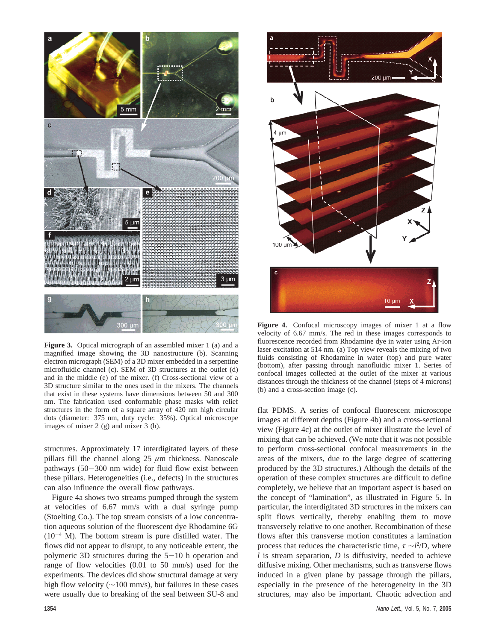

**Figure 3.** Optical micrograph of an assembled mixer 1 (a) and a magnified image showing the 3D nanostructure (b). Scanning electron micrograph (SEM) of a 3D mixer embedded in a serpentine microfluidic channel (c). SEM of 3D structures at the outlet (d) and in the middle (e) of the mixer. (f) Cross-sectional view of a 3D structure similar to the ones used in the mixers. The channels that exist in these systems have dimensions between 50 and 300 nm. The fabrication used conformable phase masks with relief structures in the form of a square array of 420 nm high circular dots (diameter: 375 nm, duty cycle: 35%). Optical microscope images of mixer 2 (g) and mixer 3 (h).

structures. Approximately 17 interdigitated layers of these pillars fill the channel along  $25 \mu m$  thickness. Nanoscale pathways  $(50-300 \text{ nm}$  wide) for fluid flow exist between these pillars. Heterogeneities (i.e., defects) in the structures can also influence the overall flow pathways.

Figure 4a shows two streams pumped through the system at velocities of 6.67 mm/s with a dual syringe pump (Stoelting Co.). The top stream consists of a low concentration aqueous solution of the fluorescent dye Rhodamine 6G  $(10^{-4}$  M). The bottom stream is pure distilled water. The flows did not appear to disrupt, to any noticeable extent, the polymeric 3D structures during the  $5-10$  h operation and range of flow velocities (0.01 to 50 mm/s) used for the experiments. The devices did show structural damage at very high flow velocity (∼100 mm/s), but failures in these cases were usually due to breaking of the seal between SU-8 and



**Figure 4.** Confocal microscopy images of mixer 1 at a flow velocity of 6.67 mm/s. The red in these images corresponds to fluorescence recorded from Rhodamine dye in water using Ar-ion laser excitation at 514 nm. (a) Top view reveals the mixing of two fluids consisting of Rhodamine in water (top) and pure water (bottom), after passing through nanofluidic mixer 1. Series of confocal images collected at the outlet of the mixer at various distances through the thickness of the channel (steps of 4 microns) (b) and a cross-section image (c).

flat PDMS. A series of confocal fluorescent microscope images at different depths (Figure 4b) and a cross-sectional view (Figure 4c) at the outlet of mixer illustrate the level of mixing that can be achieved. (We note that it was not possible to perform cross-sectional confocal measurements in the areas of the mixers, due to the large degree of scattering produced by the 3D structures.) Although the details of the operation of these complex structures are difficult to define completely, we believe that an important aspect is based on the concept of "lamination", as illustrated in Figure 5. In particular, the interdigitated 3D structures in the mixers can split flows vertically, thereby enabling them to move transversely relative to one another. Recombination of these flows after this transverse motion constitutes a lamination process that reduces the characteristic time,  $\tau \sim l^2/D$ , where *l* is stream separation, *D* is diffusivity, needed to achieve diffusive mixing. Other mechanisms, such as transverse flows induced in a given plane by passage through the pillars, especially in the presence of the heterogeneity in the 3D structures, may also be important. Chaotic advection and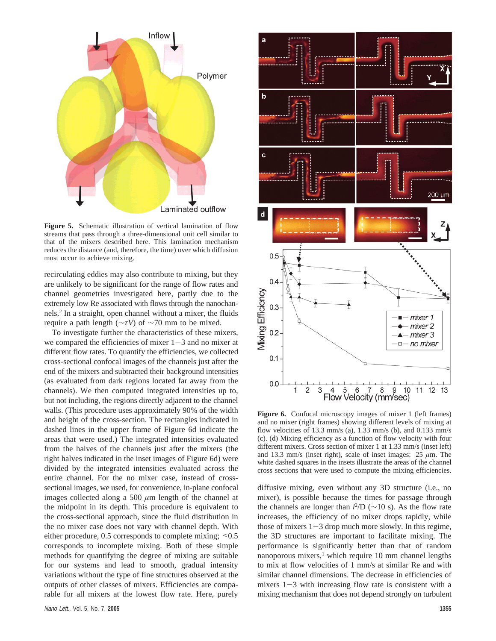

**Figure 5.** Schematic illustration of vertical lamination of flow streams that pass through a three-dimensional unit cell similar to that of the mixers described here. This lamination mechanism reduces the distance (and, therefore, the time) over which diffusion must occur to achieve mixing.

recirculating eddies may also contribute to mixing, but they are unlikely to be significant for the range of flow rates and channel geometries investigated here, partly due to the extremely low Re associated with flows through the nanochannels.2 In a straight, open channel without a mixer, the fluids require a path length (∼*τV*) of ∼70 mm to be mixed.

To investigate further the characteristics of these mixers, we compared the efficiencies of mixer  $1-3$  and no mixer at different flow rates. To quantify the efficiencies, we collected cross-sectional confocal images of the channels just after the end of the mixers and subtracted their background intensities (as evaluated from dark regions located far away from the channels). We then computed integrated intensities up to, but not including, the regions directly adjacent to the channel walls. (This procedure uses approximately 90% of the width and height of the cross-section. The rectangles indicated in dashed lines in the upper frame of Figure 6d indicate the areas that were used.) The integrated intensities evaluated from the halves of the channels just after the mixers (the right halves indicated in the inset images of Figure 6d) were divided by the integrated intensities evaluated across the entire channel. For the no mixer case, instead of crosssectional images, we used, for convenience, in-plane confocal images collected along a 500 *µ*m length of the channel at the midpoint in its depth. This procedure is equivalent to the cross-sectional approach, since the fluid distribution in the no mixer case does not vary with channel depth. With either procedure, 0.5 corresponds to complete mixing;  $\leq 0.5$ corresponds to incomplete mixing. Both of these simple methods for quantifying the degree of mixing are suitable for our systems and lead to smooth, gradual intensity variations without the type of fine structures observed at the outputs of other classes of mixers. Efficiencies are comparable for all mixers at the lowest flow rate. Here, purely



Figure 6. Confocal microscopy images of mixer 1 (left frames) and no mixer (right frames) showing different levels of mixing at flow velocities of 13.3 mm/s (a), 1.33 mm/s (b), and 0.133 mm/s (c). (d) Mixing efficiency as a function of flow velocity with four different mixers. Cross section of mixer 1 at 1.33 mm/s (inset left) and 13.3 mm/s (inset right), scale of inset images:  $25 \mu m$ . The white dashed squares in the insets illustrate the areas of the channel cross sections that were used to compute the mixing efficiencies.

diffusive mixing, even without any 3D structure (i.e., no mixer), is possible because the times for passage through the channels are longer than *l* 2 /D (∼10 s). As the flow rate increases, the efficiency of no mixer drops rapidly, while those of mixers  $1-3$  drop much more slowly. In this regime, the 3D structures are important to facilitate mixing. The performance is significantly better than that of random nanoporous mixers,<sup>1</sup> which require 10 mm channel lengths to mix at flow velocities of 1 mm/s at similar Re and with similar channel dimensions. The decrease in efficiencies of mixers  $1-3$  with increasing flow rate is consistent with a mixing mechanism that does not depend strongly on turbulent